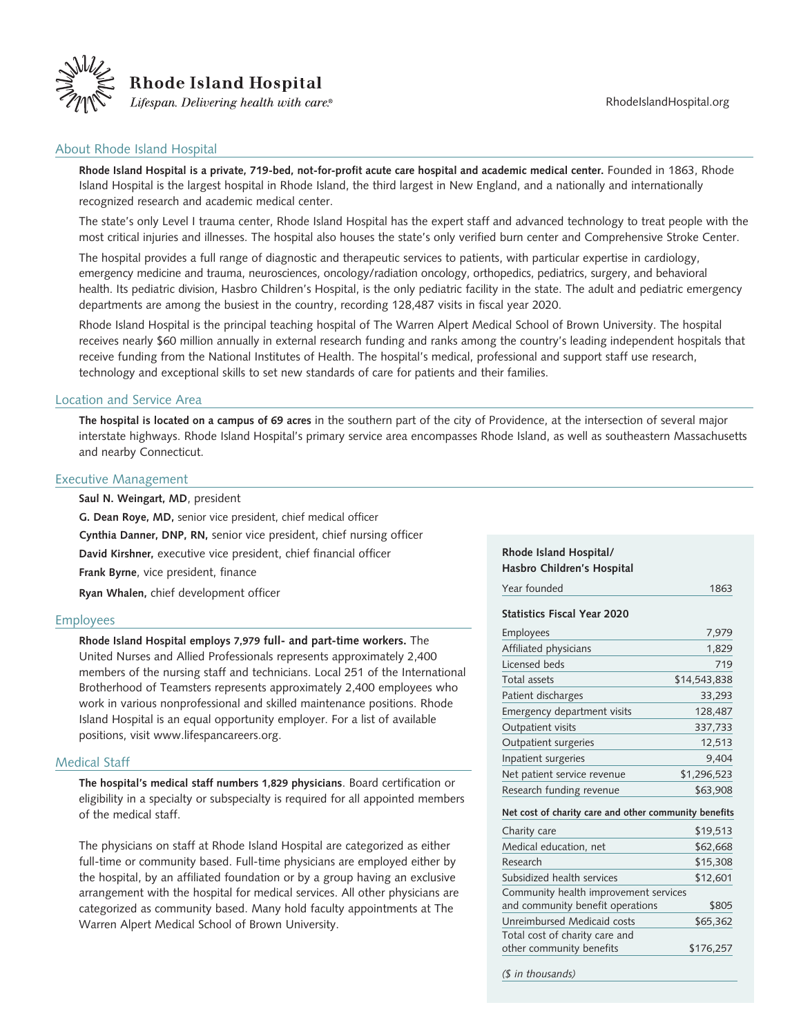

Lifespan. Delivering health with care.®

## About Rhode Island Hospital

**Rhode Island Hospital is a private, 719-bed, not-for-profit acute care hospital and academic medical center.** Founded in 1863, Rhode Island Hospital is the largest hospital in Rhode Island, the third largest in New England, and a nationally and internationally recognized research and academic medical center.

The state's only Level I trauma center, Rhode Island Hospital has the expert staff and advanced technology to treat people with the most critical injuries and illnesses. The hospital also houses the state's only verified burn center and Comprehensive Stroke Center.

The hospital provides a full range of diagnostic and therapeutic services to patients, with particular expertise in cardiology, emergency medicine and trauma, neurosciences, oncology/radiation oncology, orthopedics, pediatrics, surgery, and behavioral health. Its pediatric division, Hasbro Children's Hospital, is the only pediatric facility in the state. The adult and pediatric emergency departments are among the busiest in the country, recording 128,487 visits in fiscal year 2020.

Rhode Island Hospital is the principal teaching hospital of The Warren Alpert Medical School of Brown University. The hospital receives nearly \$60 million annually in external research funding and ranks among the country's leading independent hospitals that receive funding from the National Institutes of Health. The hospital's medical, professional and support staff use research, technology and exceptional skills to set new standards of care for patients and their families.

### Location and Service Area

**The hospital is located on a campus of 69 acres** in the southern part of the city of Providence, at the intersection of several major interstate highways. Rhode Island Hospital's primary service area encompasses Rhode Island, as well as southeastern Massachusetts and nearby Connecticut.

### Executive Management

**Saul N. Weingart, MD**, president

**G. Dean Roye, MD,** senior vice president, chief medical officer

**Cynthia Danner, DNP, RN,** senior vice president, chief nursing officer

**David Kirshner,** executive vice president, chief financial officer

**Frank Byrne**, vice president, finance

**Ryan Whalen,** chief development officer

#### Employees

**Rhode Island Hospital employs 7,979 full- and part-time workers.** The United Nurses and Allied Professionals represents approximately 2,400 members of the nursing staff and technicians. Local 251 of the International Brotherhood of Teamsters represents approximately 2,400 employees who work in various nonprofessional and skilled maintenance positions. Rhode Island Hospital is an equal opportunity employer. For a list of available positions, visit www.lifespancareers.org.

### Medical Staff

**The hospital's medical staff numbers 1,829 physicians**. Board certification or eligibility in a specialty or subspecialty is required for all appointed members of the medical staff.

The physicians on staff at Rhode Island Hospital are categorized as either full-time or community based. Full-time physicians are employed either by the hospital, by an affiliated foundation or by a group having an exclusive arrangement with the hospital for medical services. All other physicians are categorized as community based. Many hold faculty appointments at The Warren Alpert Medical School of Brown University.

# **Rhode Island Hospital/ Hasbro Children's Hospital**

| Year founded                                               | 1863         |
|------------------------------------------------------------|--------------|
| <b>Statistics Fiscal Year 2020</b>                         |              |
| Employees                                                  | 7,979        |
| Affiliated physicians                                      | 1,829        |
| Licensed beds                                              | 719          |
| Total assets                                               | \$14,543,838 |
| Patient discharges                                         | 33,293       |
| Emergency department visits                                | 128,487      |
| Outpatient visits                                          | 337,733      |
| <b>Outpatient surgeries</b>                                | 12,513       |
| Inpatient surgeries                                        | 9,404        |
| Net patient service revenue                                | \$1,296,523  |
| Research funding revenue                                   | \$63,908     |
| Net cost of charity care and other community benefits      |              |
| Charity care                                               | \$19,513     |
| Medical education, net                                     | \$62,668     |
| Research                                                   | \$15,308     |
| Subsidized health services                                 | \$12,601     |
| Community health improvement services                      |              |
| and community benefit operations                           | \$805        |
| Unreimbursed Medicaid costs                                | \$65,362     |
| Total cost of charity care and<br>other community benefits | \$176,257    |
|                                                            |              |

*(\$ in thousands)*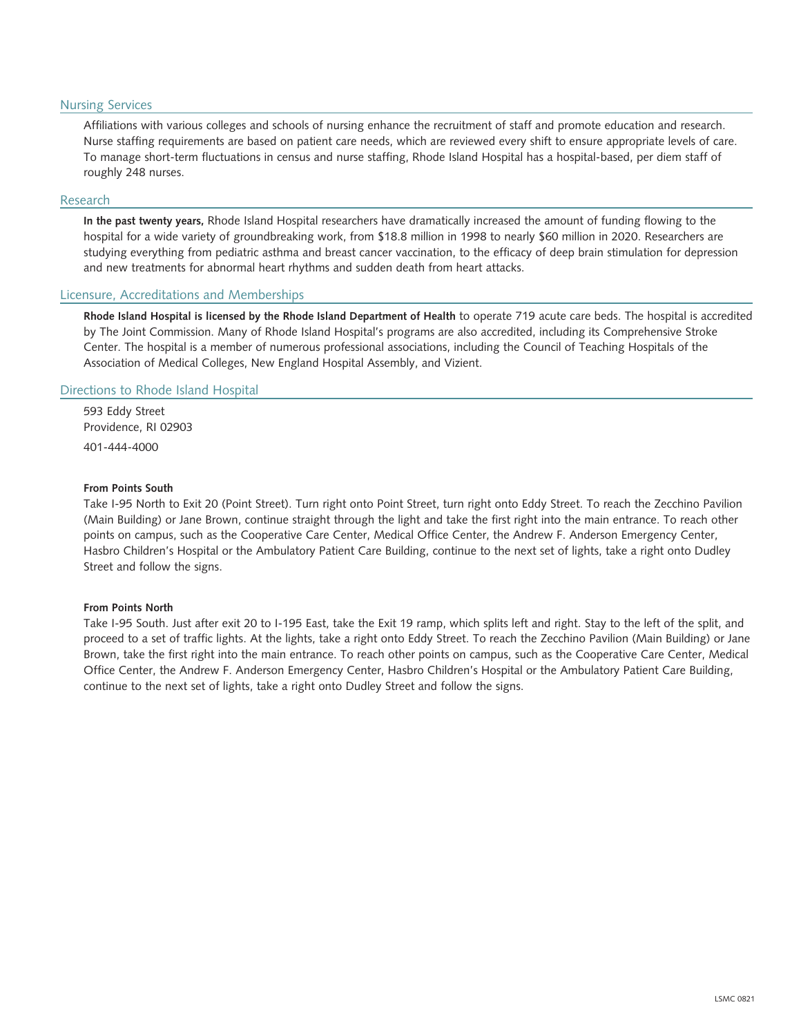# Nursing Services

Affiliations with various colleges and schools of nursing enhance the recruitment of staff and promote education and research. Nurse staffing requirements are based on patient care needs, which are reviewed every shift to ensure appropriate levels of care. To manage short-term fluctuations in census and nurse staffing, Rhode Island Hospital has a hospital-based, per diem staff of roughly 248 nurses.

### Research

**In the past twenty years,** Rhode Island Hospital researchers have dramatically increased the amount of funding flowing to the hospital for a wide variety of groundbreaking work, from \$18.8 million in 1998 to nearly \$60 million in 2020. Researchers are studying everything from pediatric asthma and breast cancer vaccination, to the efficacy of deep brain stimulation for depression and new treatments for abnormal heart rhythms and sudden death from heart attacks.

# Licensure, Accreditations and Memberships

**Rhode Island Hospital is licensed by the Rhode Island Department of Health** to operate 719 acute care beds. The hospital is accredited by The Joint Commission. Many of Rhode Island Hospital's programs are also accredited, including its Comprehensive Stroke Center. The hospital is a member of numerous professional associations, including the Council of Teaching Hospitals of the Association of Medical Colleges, New England Hospital Assembly, and Vizient.

# Directions to Rhode Island Hospital

593 Eddy Street Providence, RI 02903 401-444-4000

## **From Points South**

Take I-95 North to Exit 20 (Point Street). Turn right onto Point Street, turn right onto Eddy Street. To reach the Zecchino Pavilion (Main Building) or Jane Brown, continue straight through the light and take the first right into the main entrance. To reach other points on campus, such as the Cooperative Care Center, Medical Office Center, the Andrew F. Anderson Emergency Center, Hasbro Children's Hospital or the Ambulatory Patient Care Building, continue to the next set of lights, take a right onto Dudley Street and follow the signs.

# **From Points North**

Take I-95 South. Just after exit 20 to I-195 East, take the Exit 19 ramp, which splits left and right. Stay to the left of the split, and proceed to a set of traffic lights. At the lights, take a right onto Eddy Street. To reach the Zecchino Pavilion (Main Building) or Jane Brown, take the first right into the main entrance. To reach other points on campus, such as the Cooperative Care Center, Medical Office Center, the Andrew F. Anderson Emergency Center, Hasbro Children's Hospital or the Ambulatory Patient Care Building, continue to the next set of lights, take a right onto Dudley Street and follow the signs.